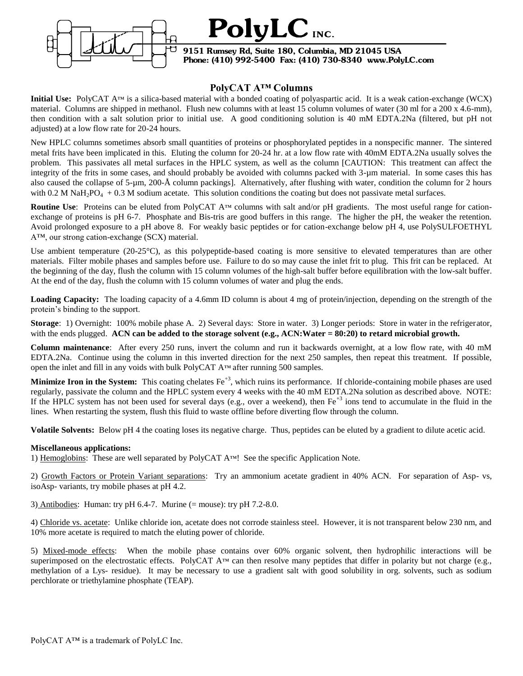



#### **9151 Rumsey Rd, Suite 180, Columbia, MD 21045 USA Phone: (410) 992-5400 Fax: (410) 730-8340 www.PolyLC.com**

## **PolyCAT A™ Columns**

**Initial Use:** PolyCAT A™ is a silica-based material with a bonded coating of polyaspartic acid. It is a weak cation-exchange (WCX) material. Columns are shipped in methanol. Flush new columns with at least 15 column volumes of water (30 ml for a 200 x 4.6-mm), then condition with a salt solution prior to initial use. A good conditioning solution is 40 mM EDTA.2Na (filtered, but pH not adjusted) at a low flow rate for 20-24 hours.

New HPLC columns sometimes absorb small quantities of proteins or phosphorylated peptides in a nonspecific manner. The sintered metal frits have been implicated in this. Eluting the column for 20-24 hr. at a low flow rate with 40mM EDTA.2Na usually solves the problem. This passivates all metal surfaces in the HPLC system, as well as the column [CAUTION: This treatment can affect the integrity of the frits in some cases, and should probably be avoided with columns packed with 3-µm material. In some cases this has also caused the collapse of 5-µm, 200-Å column packings]. Alternatively, after flushing with water, condition the column for 2 hours with 0.2 M NaH<sub>2</sub>PO<sub>4</sub> + 0.3 M sodium acetate. This solution conditions the coating but does not passivate metal surfaces.

**Routine Use**: Proteins can be eluted from PolyCAT A™ columns with salt and/or pH gradients. The most useful range for cationexchange of proteins is pH 6-7. Phosphate and Bis-tris are good buffers in this range. The higher the pH, the weaker the retention. Avoid prolonged exposure to a pH above 8. For weakly basic peptides or for cation-exchange below pH 4, use PolySULFOETHYL A™, our strong cation-exchange (SCX) material.

Use ambient temperature (20-25<sup>o</sup>C), as this polypeptide-based coating is more sensitive to elevated temperatures than are other materials. Filter mobile phases and samples before use. Failure to do so may cause the inlet frit to plug. This frit can be replaced. At the beginning of the day, flush the column with 15 column volumes of the high-salt buffer before equilibration with the low-salt buffer. At the end of the day, flush the column with 15 column volumes of water and plug the ends.

**Loading Capacity:** The loading capacity of a 4.6mm ID column is about 4 mg of protein/injection, depending on the strength of the protein's binding to the support.

**Storage**: 1) Overnight: 100% mobile phase A. 2) Several days: Store in water. 3) Longer periods: Store in water in the refrigerator, with the ends plugged. **ACN can be added to the storage solvent (e.g., ACN:Water = 80:20) to retard microbial growth.** 

**Column maintenance**: After every 250 runs, invert the column and run it backwards overnight, at a low flow rate, with 40 mM EDTA.2Na. Continue using the column in this inverted direction for the next 250 samples, then repeat this treatment. If possible, open the inlet and fill in any voids with bulk PolyCAT A™ after running 500 samples.

**Minimize Iron in the System:** This coating chelates Fe<sup>+3</sup>, which ruins its performance. If chloride-containing mobile phases are used regularly, passivate the column and the HPLC system every 4 weeks with the 40 mM EDTA.2Na solution as described above. NOTE: If the HPLC system has not been used for several days (e.g., over a weekend), then  $Fe^{+3}$  ions tend to accumulate in the fluid in the lines. When restarting the system, flush this fluid to waste offline before diverting flow through the column.

**Volatile Solvents:** Below pH 4 the coating loses its negative charge. Thus, peptides can be eluted by a gradient to dilute acetic acid.

### **Miscellaneous applications:**

1) Hemoglobins: These are well separated by PolyCAT A™! See the specific Application Note.

2) Growth Factors or Protein Variant separations: Try an ammonium acetate gradient in 40% ACN. For separation of Asp- vs, isoAsp- variants, try mobile phases at pH 4.2.

3) Antibodies: Human: try pH  $6.4$ -7. Murine (= mouse): try pH  $7.2$ -8.0.

4) Chloride vs. acetate: Unlike chloride ion, acetate does not corrode stainless steel. However, it is not transparent below 230 nm, and 10% more acetate is required to match the eluting power of chloride.

5) Mixed-mode effects: When the mobile phase contains over 60% organic solvent, then hydrophilic interactions will be superimposed on the electrostatic effects. PolyCAT  $A^{TM}$  can then resolve many peptides that differ in polarity but not charge (e.g., methylation of a Lys- residue). It may be necessary to use a gradient salt with good solubility in org. solvents, such as sodium perchlorate or triethylamine phosphate (TEAP).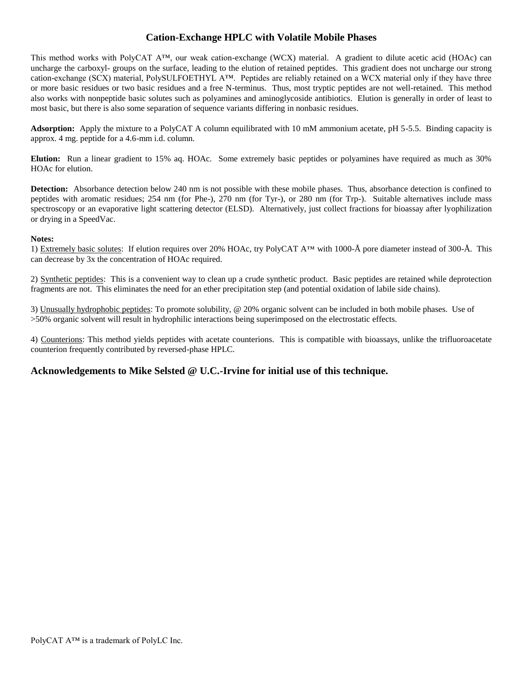## **Cation-Exchange HPLC with Volatile Mobile Phases**

This method works with PolyCAT A™, our weak cation-exchange (WCX) material. A gradient to dilute acetic acid (HOAc) can uncharge the carboxyl- groups on the surface, leading to the elution of retained peptides. This gradient does not uncharge our strong cation-exchange (SCX) material, PolySULFOETHYL A™. Peptides are reliably retained on a WCX material only if they have three or more basic residues or two basic residues and a free N-terminus. Thus, most tryptic peptides are not well-retained. This method also works with nonpeptide basic solutes such as polyamines and aminoglycoside antibiotics. Elution is generally in order of least to most basic, but there is also some separation of sequence variants differing in nonbasic residues.

**Adsorption:** Apply the mixture to a PolyCAT A column equilibrated with 10 mM ammonium acetate, pH 5-5.5. Binding capacity is approx. 4 mg. peptide for a 4.6-mm i.d. column.

**Elution:** Run a linear gradient to 15% aq. HOAc. Some extremely basic peptides or polyamines have required as much as 30% HOAc for elution.

**Detection:** Absorbance detection below 240 nm is not possible with these mobile phases. Thus, absorbance detection is confined to peptides with aromatic residues; 254 nm (for Phe-), 270 nm (for Tyr-), or 280 nm (for Trp-). Suitable alternatives include mass spectroscopy or an evaporative light scattering detector (ELSD). Alternatively, just collect fractions for bioassay after lyophilization or drying in a SpeedVac.

#### **Notes:**

1) Extremely basic solutes: If elution requires over 20% HOAc, try PolyCAT A™ with 1000-Å pore diameter instead of 300-Å. This can decrease by 3x the concentration of HOAc required.

2) Synthetic peptides: This is a convenient way to clean up a crude synthetic product. Basic peptides are retained while deprotection fragments are not. This eliminates the need for an ether precipitation step (and potential oxidation of labile side chains).

3) Unusually hydrophobic peptides: To promote solubility, @ 20% organic solvent can be included in both mobile phases. Use of >50% organic solvent will result in hydrophilic interactions being superimposed on the electrostatic effects.

4) Counterions: This method yields peptides with acetate counterions. This is compatible with bioassays, unlike the trifluoroacetate counterion frequently contributed by reversed-phase HPLC.

## **Acknowledgements to Mike Selsted @ U.C.-Irvine for initial use of this technique.**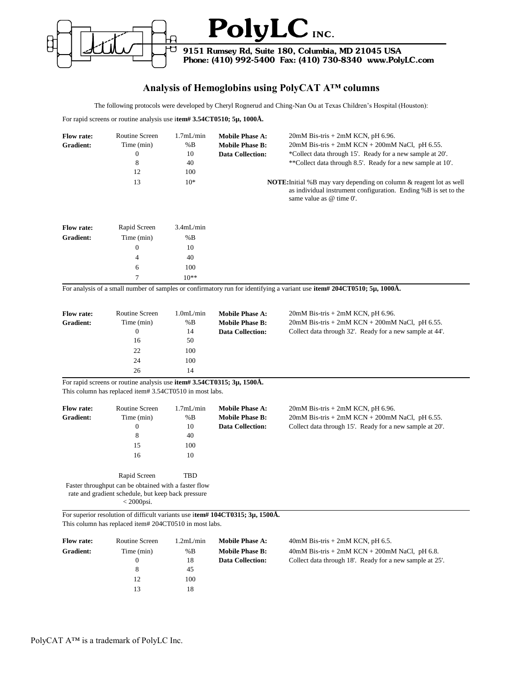

# **Analysis of Hemoglobins using PolyCAT A™ columns**

The following protocols were developed by Cheryl Rognerud and Ching-Nan Ou at Texas Children's Hospital (Houston):

For rapid screens or routine analysis use i**tem# 3.54CT0510; 5µ, 1000Å.**

| <b>Flow rate:</b><br>Gradient: | Routine Screen<br>Time (min)<br>0<br>8<br>12<br>13 | 1.7mL/min<br>%B<br>10<br>40<br>100<br>$10*$ | <b>Mobile Phase A:</b><br><b>Mobile Phase B:</b><br><b>Data Collection:</b> | $20mM$ Bis-tris + $2mM$ KCN, pH 6.96.<br>$20mM$ Bis-tris + $2mM$ KCN + $200mM$ NaCl, pH 6.55.<br>*Collect data through 15'. Ready for a new sample at 20'.<br>**Collect data through 8.5'. Ready for a new sample at 10'.<br><b>NOTE:</b> Initial %B may vary depending on column & reagent lot as well<br>as individual instrument configuration. Ending %B is set to the |
|--------------------------------|----------------------------------------------------|---------------------------------------------|-----------------------------------------------------------------------------|----------------------------------------------------------------------------------------------------------------------------------------------------------------------------------------------------------------------------------------------------------------------------------------------------------------------------------------------------------------------------|
|                                |                                                    |                                             |                                                                             | same value as $@$ time $0'.$                                                                                                                                                                                                                                                                                                                                               |

| <b>Flow rate:</b> | Rapid Screen | 3.4mL/min |
|-------------------|--------------|-----------|
| Gradient:         | Time (min)   | %B        |
|                   | $\left($     | 10        |
|                   | 4            | 40        |
|                   | 6            | 100       |
|                   | $\tau$       | $10**$    |

For analysis of a small number of samples or confirmatory run for identifying a variant use **item# 204CT0510; 5µ, 1000Å.**

| <b>Flow rate:</b> | Routine Screen | 1.0mL/min | <b>Mobile Phase A:</b>  | $20mM$ Bis-tris + $2mM$ KCN, pH 6.96.                    |
|-------------------|----------------|-----------|-------------------------|----------------------------------------------------------|
| Gradient:         | Time (min)     | %B        | <b>Mobile Phase B:</b>  | $20mM$ Bis-tris + $2mM$ KCN + $200mM$ NaCl, pH 6.55.     |
|                   | 0              | 14        | <b>Data Collection:</b> | Collect data through 32'. Ready for a new sample at 44'. |
|                   | 16             | 50        |                         |                                                          |
|                   | 22             | 100       |                         |                                                          |
|                   | 24             | 100       |                         |                                                          |
|                   | 26             | 14        |                         |                                                          |

For rapid screens or routine analysis use **item# 3.54CT0315; 3µ, 1500Å.**

This column has replaced item# 3.54CT0510 in most labs.

| <b>Flow rate:</b><br><b>Gradient:</b> | Routine Screen<br>Time (min)<br>$\theta$<br>8<br>15<br>16 | 1.7mL/min<br>%B<br>10<br>40<br>100<br>10 | <b>Mobile Phase A:</b><br><b>Mobile Phase B:</b><br><b>Data Collection:</b> | $20mM$ Bis-tris + $2mM$ KCN, pH 6.96.<br>$20mM$ Bis-tris + $2mM$ KCN + $200mM$ NaCl, pH 6.55.<br>Collect data through 15'. Ready for a new sample at 20'. |
|---------------------------------------|-----------------------------------------------------------|------------------------------------------|-----------------------------------------------------------------------------|-----------------------------------------------------------------------------------------------------------------------------------------------------------|
|                                       | Rapid Screen                                              | TBD                                      |                                                                             |                                                                                                                                                           |
|                                       | Faster throughput can be obtained with a faster flow<br>. |                                          |                                                                             |                                                                                                                                                           |

rate and gradient schedule, but keep back pressure

< 2000psi.

For superior resolution of difficult variants use i**tem# 104CT0315; 3µ, 1500Å.** This column has replaced item# 204CT0510 in most labs.

| <b>Flow rate:</b> | Routine Screen | $1.2$ m $L/min$ | <b>Mobile Phase A:</b>  | $40mM$ Bis-tris + 2mM KCN, pH 6.5.                       |
|-------------------|----------------|-----------------|-------------------------|----------------------------------------------------------|
| <b>Gradient:</b>  | Time (min)     | %B              | <b>Mobile Phase B:</b>  | $40mM$ Bis-tris + 2mM KCN + 200mM NaCl, pH 6.8.          |
|                   | $^{(1)}$       | 18              | <b>Data Collection:</b> | Collect data through 18'. Ready for a new sample at 25'. |
|                   | 8              | 45              |                         |                                                          |
|                   | 12             | 100             |                         |                                                          |
|                   | 13             | 18              |                         |                                                          |